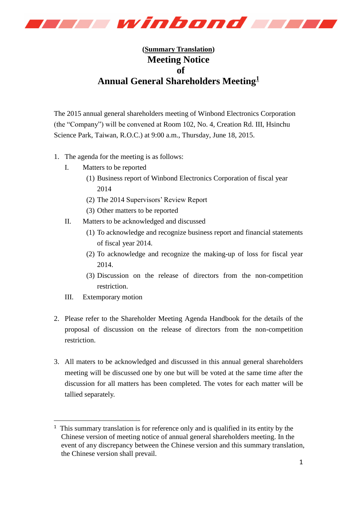

## **(Summary Translation) Meeting Notice of Annual General Shareholders Meeting<sup>1</sup>**

The 2015 annual general shareholders meeting of Winbond Electronics Corporation (the "Company") will be convened at Room 102, No. 4, Creation Rd. III, Hsinchu Science Park, Taiwan, R.O.C.) at 9:00 a.m., Thursday, June 18, 2015.

- 1. The agenda for the meeting is as follows:
	- I. Matters to be reported
		- (1) Business report of Winbond Electronics Corporation of fiscal year 2014
		- (2) The 2014 Supervisors' Review Report
		- (3) Other matters to be reported
	- II. Matters to be acknowledged and discussed
		- (1) To acknowledge and recognize business report and financial statements of fiscal year 2014.
		- (2) To acknowledge and recognize the making-up of loss for fiscal year 2014.
		- (3) Discussion on the release of directors from the non-competition restriction.
	- III. Extemporary motion

-

- 2. Please refer to the Shareholder Meeting Agenda Handbook for the details of the proposal of discussion on the release of directors from the non-competition restriction.
- 3. All maters to be acknowledged and discussed in this annual general shareholders meeting will be discussed one by one but will be voted at the same time after the discussion for all matters has been completed. The votes for each matter will be tallied separately.

<sup>&</sup>lt;sup>1</sup> This summary translation is for reference only and is qualified in its entity by the Chinese version of meeting notice of annual general shareholders meeting. In the event of any discrepancy between the Chinese version and this summary translation, the Chinese version shall prevail.